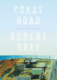

# **selected poems**



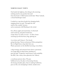#### **NORTH COAST TOWN**

Out beside the highway, first thing in the morning, nothing much in my pockets but sand from the beach. A Shell station (with their 'Mens' locked), a closed hamburger stand.

I washed at a tap down beside the changing sheds, stepping about on mud. Through the wall smell of the vandals' lavatory and an automatic chill flushing in the urinal.

Eat a floury apple and stand about. At this kerb sand crawls by, and palm fronds here scrape dryly. Car after car now – it's like a boxer warming up with the heavy bag, spitting air.

A car slows and I chase it. Two hoods going shooting. Tattoos and greasy Fifties pompadour. Rev in High Street, drop their first can. Plastic pennants on the distilled morning, everywhere;

a dog trotting, and someone hoses down a pavement; our image flaps in shop fronts; smoking on past the pink 'Tropicana' motel (stucco with seashells); the RSL, like a fancy-dress pharaoh; the 'Odeon',

a warehouse picture show. We pass bulldozed acres; the place is becoming chrome, tile-facing and plate glass, they're making California; pass an Abo, not attempting to hitch, outside town.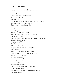## **The Meatworks**

Most of them worked around the slaughtering out the back, where concrete gutters crawled off heavily, and the hot, fertilizer-thick, sticky stench of blood sent flies mad, but I settled for one of the lowest-paid jobs, making mince, the furthest end from those bellowing, sloppy yards. Outside, the pigs' fear made them mount one another at the last minute. I stood all day by a shaking metal box that had a chute in, and a spout, snatching steaks from a bin they kept refilling pushing them through arm-thick corkscrews, grinding around inside it, meat or not – chomping, bloody mouth – using a greasy stick shaped into a penis. When I grabbed it the first time it slipped, slippery as soap, out of my hand, in the machine that gnawed it hysterically a few moments louder and louder, then, shuddering, stopped; fused every light in the shop. Too soon to sack me – it was the first thing I'd done. For a while I had to lug gutted pigs white as swedes and with straight stick tails to the ice rooms, hang them by the hooves on hooks – their dripping solidified like candle-wax – or pack a long intestine with sausage meat.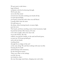We got meat to take home – bags of blood; red plastic with the fat showing through. We'd wash, then out on the blue metal toward town; but after sticking your hands all day in snail-sheened flesh, you found, around the nails, there was still blood. I usually didn't take the meat. I'd walk home on the shiny, white-bruising beach, in mauve light, past the town. The beach, and those startling, storm-cloud mountains, high beyond the furthest fibro houses, I'd come to be with. Caught, where the only work was at this Works. My wife walked, carrying her sandals, in the sand and beach grass, to meet me. I'd scoop up shell-grit and scrub my hands, treading about through the icy ledges of the surf as she came along. We said that working with meat was like burning the live bush and fertilizing with rottenness, for the frail green money. There was a flaw to the analogy you felt, but one not looked at, then – the way those pigs stuck there, clinging onto each other.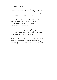#### **Harbour Dusk**

She and I came wandering there through an empty park, and we laid our hands on a stone parapet's fading life. Before us, across the oily, aubergine dark of the harbour, we could make out yachts –

beneath an overcast sky, that was mauve underlit, against a far shore of dark, crumbling bush. Part of the city, to our left, was fruit shop bright. After the summer day, a huge, moist hush.

The yachts were far across their empty fields of water. One, at times, was gently rested like a quill. They seemed to whisper, slipping amongst each other, always hovering, as though resolve were ill.

Away off, through the strung Bridge, a sky of mulberry and orange chiffon. Mauve-grey, each sloven sail – like nursing sisters in a deep corridor, some melancholy; or nuns, going to an evening confessional.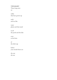## **Twilight**

These long stars on

stalks that have grown up

early and are like

water plants and that stand

in all the pools and the lake

even at the brim

of the dark cup

before your mouth these are

the one slit star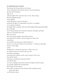# **In Departing Light**

My mother all of ninety has to be tied up in her wheelchair, but still she leans far out of it sideways; she juts there brokenly, able to cut with the sight of her someone who is close. She is hung like her hanging mouth in the dignity of her bleariness, and says that she is perfectly all right. It is impossible to get her to complain or to register anything for longer than a moment. She has made Stephen Hawking look healthy. It's as though she is being sucked out of existence sideways through a porthole and we've got hold of her feet. She's very calm. If you live long enough it isn't death you fear but what life can still do. And she appears to know this somewhere, even if there's no hope she could formulate it. Yet she is so calm you think of an immortal – a Tithonus withering forever on the edge of life, though never a moment's grievance. Taken out to air my mother seems in a motorcycle race, she the sidecar passenger who keeps the machine on the road, trying to lie far over beyond the wheel. Seriously, concentrated, she gazes ahead towards the line, as we go creeping around and around, through the thick syrups of a garden, behind the nursing home. Her mouth is full of chaos. My mother revolves her loose dentures like marbles ground upon each other, or idly clatters them,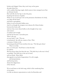broken and chipped. Since they won't stay on her gums she spits them free with a sudden blurting cough, which seems to have stamped out of her an ultimate breath. Her teeth fly into her lap or onto the grass, breaking the hawsers of spittle. What we see in such age is for us the premature dissolution of a body, as it slips off the bones and back to protoplasm before it can be decently hidden away. And it's as though the synapses were almost all of them broken between her brain cells and now they waver about feebly on the draught of my voice and connect at random and wrongly and she has become a surrealist poet. 'How is the sun on your back?' I ask. 'The sun is mechanical,' she tells me, matter of fact. Wait a moment, I think, is she becoming profound? From nowhere she says, 'The lake gets dusty.' There is no lake here, or in her past. 'You'll have to dust the lake.' It could be She has grown deep, but then she says, 'The little boy in the star is food,' or perhaps 'The little boy is the star in food,' and you think, 'More likely this appeals to my kind of superstition.' It is all a tangle, and interpretations, and hearing amiss, all just the slipperiness of her descent.

We sit and listen to the bird-song, which is like wandering lines of wet paint –

it is like an abstract expressionist at work, his flourishes and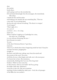then the touches barely there, and is going on all over the stretched sky. If I read aloud skimmingly from the newspaper, she immediately falls asleep. I stroke her face and she wakes and looking at me intently she says something like, 'That was a nice stick.' In our sitting about she has also said, relevant of nothing, 'The desert is a tongue.' 'A red tongue?' 'That's right, it's a it's a sort of you know – it's a – it's a long motor car.' When I told her I might go to Cambridge for a time, she said to me, 'Cambridge is a very old seat of learning. Be sure –' but it became too much – 'be sure of the short Christmas flowers.' I get dizzy, nauseous, when I try to think about what is happening inside her head. I keep her out there for hours, propping her straight, as she dozes, and drifts into waking; away from the stench and the screams of the ward. The worst of all this, for me, is that despite such talk, now is the most peace I've known her to have. She reminisces, momentarily, thinking that I am one of her long-dead brothers. 'Didn't we have some fun on those horses, when we were kids?' she'll say, giving her thigh a little slap. Alzheimer's is nirvana, in her case. She never mentions anything of what troubled her adult years – God, the evil passages of the Bible, her own mother's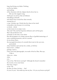long, hard dying, my father. Nothing at all of my father, and nothing of her obsession with the religion that he drove her to. She says the magpie's song, which goes on and on, like an Irishman wheedling to himself, and which I have turned her chair towards, reminds her of a cup. A broken cup. I think that the chaos in her mind is bearable to her because it is revolving so slowly – slowly as dust motes in an empty room. The soul? The soul bas long been defeated, and is all but gone. She's only productive now of bristles on the chin, of an odour like old newspapers on a damp concrete floor, of garbled mutterings, of some crackling memories, and of a warmth (it was always there, the marsupial devotion), of a warmth that is just in the eyes now, particularly when I hold her and rock her for a while, as I lift her back to bed – a folded package, such as, I have seen from photographs, was made of the Ice Man. She says, 'I like it when you – when when you…' I say to her, 'My brown-eyed girl.' Although she doesn't remember the record, or me come home that time, I sing it to her: 'Da da-dum, de-dum, da-dum … And it's you, it's you,'– she smiles up, into my face –'it's you, my brown-eyed girl.'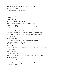My mother will get lost on the roads after death. Too lonely a figure to bear thinking of. As she did once, one time at least, in the new department store in our town; discovered hesitant among the aisles; turning around and around, becoming a still place. Looking too kind to reject even a wrong direction, outrightly. And she caught my eye, watching her, and knew I'd laugh and grinned. Or else, since many another spirit will be arriving over there, whatever those are – and all of them clamorous as seabirds, along the walls of death – she will be pushed aside easily, again. There are hierarchies in Heaven, we remember; and we know of its bungled schemes. Even if the last shall be first', as we have been told, she could not be first. It would not be her. But why become so fearful? This is all of your mother, in your arms. She who now, a moment after your game, has gone; who is confused and would like to ask why she is hanging here. No – she will be safe. She will be safe in the dry mouth of this red earth, in the place she has always been. She who hasn't survived living, how can we dream that she will survive her death?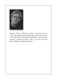

Robert Gray's collections include *Creekwater Journal* (1974), *The Skylight* (1984), *Afterimages* (2002) and *Cumulus* (2012). He has won the New South Wales and Victorian premiers' awards for poetry, and in 1990 he won the Patrick White Award for literature.